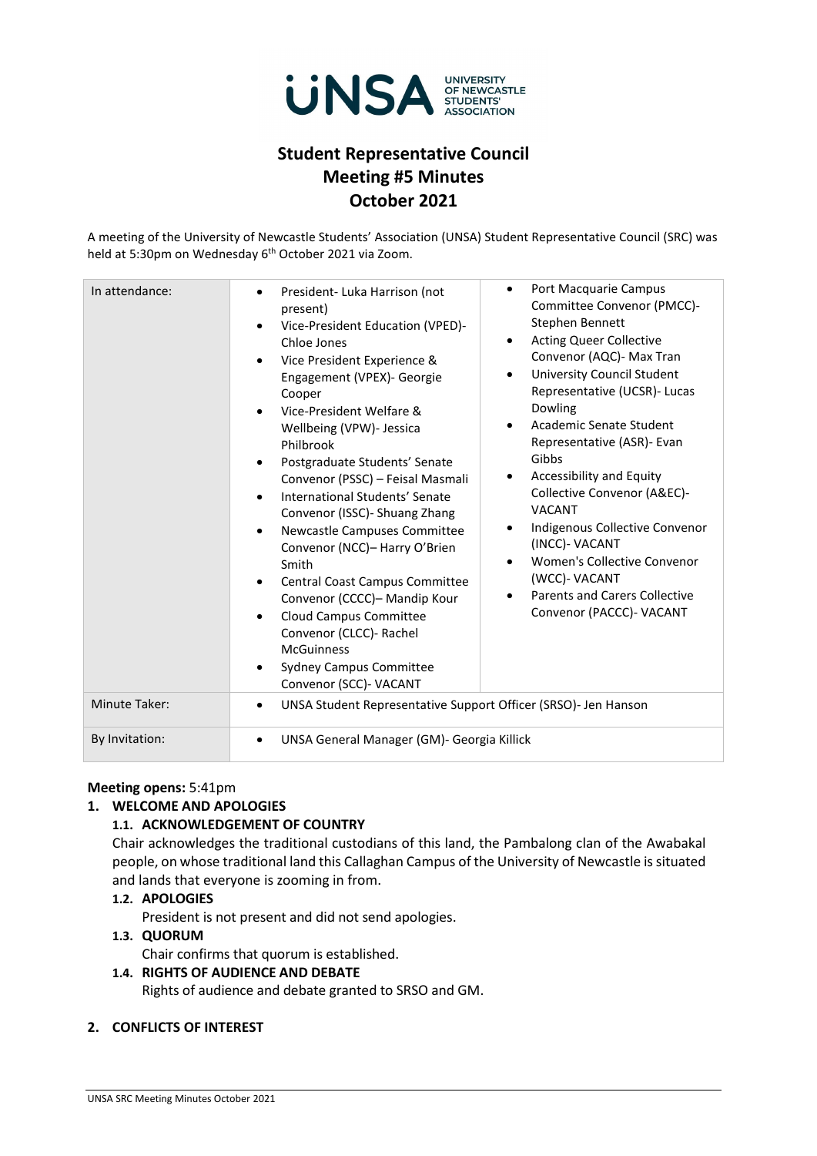

# **Student Representative Council Meeting #5 Minutes October 2021**

A meeting of the University of Newcastle Students' Association (UNSA) Student Representative Council (SRC) was held at 5:30pm on Wednesday 6<sup>th</sup> October 2021 via Zoom.

| In attendance: | Port Macquarie Campus<br>$\bullet$<br>President- Luka Harrison (not<br>٠<br>Committee Convenor (PMCC)-<br>present)<br>Stephen Bennett<br>Vice-President Education (VPED)-<br>$\bullet$<br><b>Acting Queer Collective</b><br>$\bullet$<br>Chloe Jones<br>Convenor (AQC)- Max Tran<br>Vice President Experience &<br>University Council Student<br>$\bullet$<br>Engagement (VPEX)- Georgie<br>Representative (UCSR)- Lucas<br>Cooper<br>Dowling<br>Vice-President Welfare &<br>Academic Senate Student<br>$\bullet$<br>Wellbeing (VPW)- Jessica<br>Representative (ASR)- Evan<br>Philbrook<br>Gibbs<br>Postgraduate Students' Senate<br>Accessibility and Equity<br>Convenor (PSSC) - Feisal Masmali<br>٠<br>Collective Convenor (A&EC)-<br>International Students' Senate<br>$\bullet$<br><b>VACANT</b><br>Convenor (ISSC) - Shuang Zhang<br>Indigenous Collective Convenor<br>$\bullet$<br>Newcastle Campuses Committee<br>$\bullet$<br>(INCC)- VACANT<br>Convenor (NCC)- Harry O'Brien<br>Women's Collective Convenor<br>$\bullet$<br>Smith<br>(WCC)- VACANT<br>Central Coast Campus Committee<br>$\bullet$<br><b>Parents and Carers Collective</b><br>$\bullet$<br>Convenor (CCCC)- Mandip Kour<br>Convenor (PACCC)- VACANT<br><b>Cloud Campus Committee</b><br>Convenor (CLCC)- Rachel<br><b>McGuinness</b><br><b>Sydney Campus Committee</b><br>Convenor (SCC)- VACANT |
|----------------|----------------------------------------------------------------------------------------------------------------------------------------------------------------------------------------------------------------------------------------------------------------------------------------------------------------------------------------------------------------------------------------------------------------------------------------------------------------------------------------------------------------------------------------------------------------------------------------------------------------------------------------------------------------------------------------------------------------------------------------------------------------------------------------------------------------------------------------------------------------------------------------------------------------------------------------------------------------------------------------------------------------------------------------------------------------------------------------------------------------------------------------------------------------------------------------------------------------------------------------------------------------------------------------------------------------------------------------------------------------------------|
| Minute Taker:  | UNSA Student Representative Support Officer (SRSO)- Jen Hanson<br>٠                                                                                                                                                                                                                                                                                                                                                                                                                                                                                                                                                                                                                                                                                                                                                                                                                                                                                                                                                                                                                                                                                                                                                                                                                                                                                                        |
| By Invitation: | UNSA General Manager (GM)- Georgia Killick<br>٠                                                                                                                                                                                                                                                                                                                                                                                                                                                                                                                                                                                                                                                                                                                                                                                                                                                                                                                                                                                                                                                                                                                                                                                                                                                                                                                            |

#### **Meeting opens:** 5:41pm

#### **1. WELCOME AND APOLOGIES**

# **1.1. ACKNOWLEDGEMENT OF COUNTRY**

Chair acknowledges the traditional custodians of this land, the Pambalong clan of the Awabakal people, on whose traditional land this Callaghan Campus of the University of Newcastle is situated and lands that everyone is zooming in from.

#### **1.2. APOLOGIES**

President is not present and did not send apologies.

# **1.3. QUORUM**

Chair confirms that quorum is established.

## **1.4. RIGHTS OF AUDIENCE AND DEBATE**

Rights of audience and debate granted to SRSO and GM.

#### **2. CONFLICTS OF INTEREST**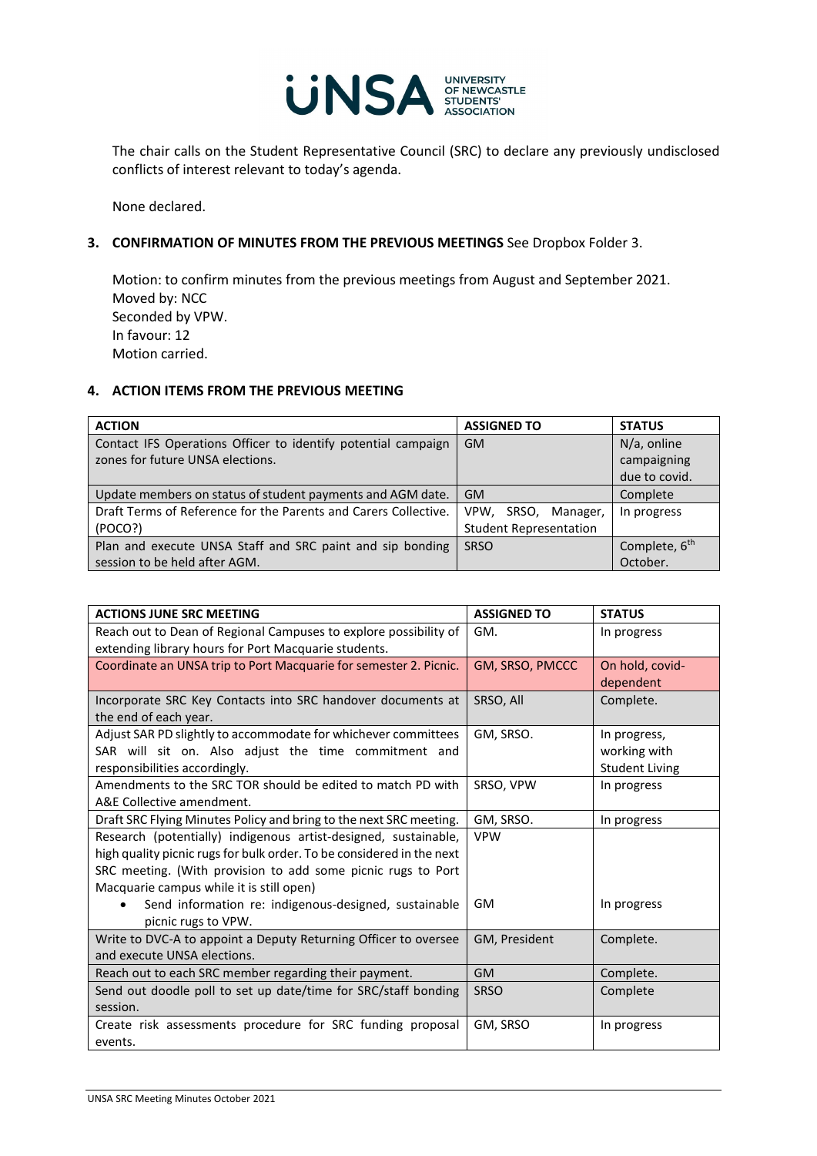

The chair calls on the Student Representative Council (SRC) to declare any previously undisclosed conflicts of interest relevant to today's agenda.

None declared.

### **3. CONFIRMATION OF MINUTES FROM THE PREVIOUS MEETINGS** See Dropbox Folder 3.

Motion: to confirm minutes from the previous meetings from August and September 2021. Moved by: NCC Seconded by VPW. In favour: 12 Motion carried.

## **4. ACTION ITEMS FROM THE PREVIOUS MEETING**

| <b>ACTION</b>                                                   | <b>ASSIGNED TO</b>            | <b>STATUS</b>             |
|-----------------------------------------------------------------|-------------------------------|---------------------------|
| Contact IFS Operations Officer to identify potential campaign   | GM.                           | $N/a$ , online            |
| zones for future UNSA elections.                                |                               | campaigning               |
|                                                                 |                               | due to covid.             |
| Update members on status of student payments and AGM date.      | <b>GM</b>                     | Complete                  |
| Draft Terms of Reference for the Parents and Carers Collective. | VPW, SRSO, Manager,           | In progress               |
| (POCO?)                                                         | <b>Student Representation</b> |                           |
| Plan and execute UNSA Staff and SRC paint and sip bonding       | <b>SRSO</b>                   | Complete, 6 <sup>th</sup> |
| session to be held after AGM.                                   |                               | October.                  |

| <b>ACTIONS JUNE SRC MEETING</b>                                       | <b>ASSIGNED TO</b> | <b>STATUS</b>         |
|-----------------------------------------------------------------------|--------------------|-----------------------|
| Reach out to Dean of Regional Campuses to explore possibility of      | GM.                | In progress           |
| extending library hours for Port Macquarie students.                  |                    |                       |
| Coordinate an UNSA trip to Port Macquarie for semester 2. Picnic.     | GM, SRSO, PMCCC    | On hold, covid-       |
|                                                                       |                    | dependent             |
| Incorporate SRC Key Contacts into SRC handover documents at           | SRSO, All          | Complete.             |
| the end of each year.                                                 |                    |                       |
| Adjust SAR PD slightly to accommodate for whichever committees        | GM, SRSO.          | In progress,          |
| SAR will sit on. Also adjust the time commitment and                  |                    | working with          |
| responsibilities accordingly.                                         |                    | <b>Student Living</b> |
| Amendments to the SRC TOR should be edited to match PD with           | SRSO, VPW          | In progress           |
| A&E Collective amendment.                                             |                    |                       |
| Draft SRC Flying Minutes Policy and bring to the next SRC meeting.    | GM, SRSO.          | In progress           |
| Research (potentially) indigenous artist-designed, sustainable,       | <b>VPW</b>         |                       |
| high quality picnic rugs for bulk order. To be considered in the next |                    |                       |
| SRC meeting. (With provision to add some picnic rugs to Port          |                    |                       |
| Macquarie campus while it is still open)                              |                    |                       |
| Send information re: indigenous-designed, sustainable                 | GM                 | In progress           |
| picnic rugs to VPW.                                                   |                    |                       |
| Write to DVC-A to appoint a Deputy Returning Officer to oversee       | GM, President      | Complete.             |
| and execute UNSA elections.                                           |                    |                       |
| Reach out to each SRC member regarding their payment.                 | <b>GM</b>          | Complete.             |
| Send out doodle poll to set up date/time for SRC/staff bonding        | <b>SRSO</b>        | Complete              |
| session.                                                              |                    |                       |
| Create risk assessments procedure for SRC funding proposal            | GM, SRSO           | In progress           |
| events.                                                               |                    |                       |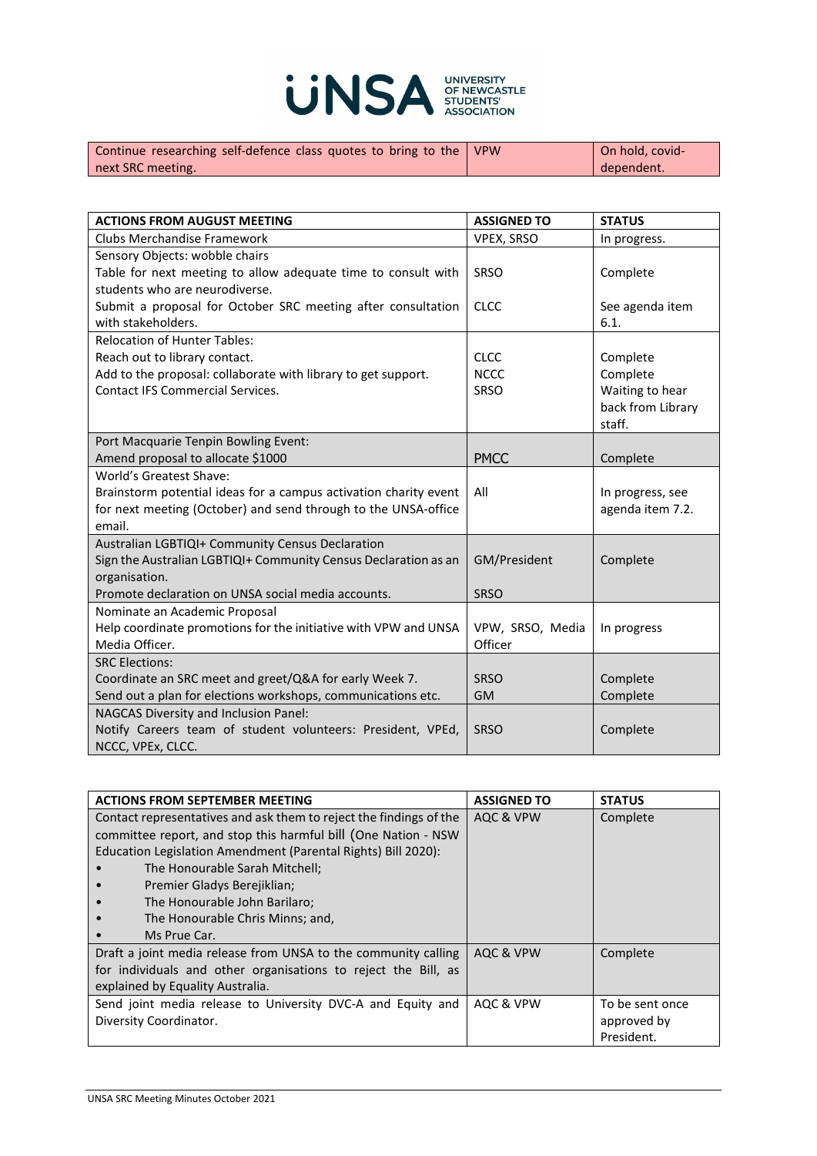

| Continue researching self-defence class quotes to bring to the VPW | On hold, covid- |
|--------------------------------------------------------------------|-----------------|
| next SRC meeting.                                                  | dependent.      |

| <b>ACTIONS FROM AUGUST MEETING</b>                               | <b>ASSIGNED TO</b> | <b>STATUS</b>     |
|------------------------------------------------------------------|--------------------|-------------------|
| Clubs Merchandise Framework                                      | VPEX, SRSO         | In progress.      |
| Sensory Objects: wobble chairs                                   |                    |                   |
| Table for next meeting to allow adequate time to consult with    | SRSO               | Complete          |
| students who are neurodiverse.                                   |                    |                   |
| Submit a proposal for October SRC meeting after consultation     | <b>CLCC</b>        | See agenda item   |
| with stakeholders.                                               |                    | 6.1.              |
| <b>Relocation of Hunter Tables:</b>                              |                    |                   |
| Reach out to library contact.                                    | <b>CLCC</b>        | Complete          |
| Add to the proposal: collaborate with library to get support.    | <b>NCCC</b>        | Complete          |
| <b>Contact IFS Commercial Services.</b>                          | SRSO               | Waiting to hear   |
|                                                                  |                    | back from Library |
|                                                                  |                    | staff.            |
| Port Macquarie Tenpin Bowling Event:                             |                    |                   |
| Amend proposal to allocate \$1000                                | <b>PMCC</b>        | Complete          |
| World's Greatest Shave:                                          |                    |                   |
| Brainstorm potential ideas for a campus activation charity event | All                | In progress, see  |
| for next meeting (October) and send through to the UNSA-office   |                    | agenda item 7.2.  |
| email.                                                           |                    |                   |
| Australian LGBTIQI+ Community Census Declaration                 |                    |                   |
| Sign the Australian LGBTIQI+ Community Census Declaration as an  | GM/President       | Complete          |
| organisation.                                                    |                    |                   |
| Promote declaration on UNSA social media accounts.               | <b>SRSO</b>        |                   |
| Nominate an Academic Proposal                                    |                    |                   |
| Help coordinate promotions for the initiative with VPW and UNSA  | VPW, SRSO, Media   | In progress       |
| Media Officer.                                                   | Officer            |                   |
| <b>SRC Elections:</b>                                            |                    |                   |
| Coordinate an SRC meet and greet/Q&A for early Week 7.           | <b>SRSO</b>        | Complete          |
| Send out a plan for elections workshops, communications etc.     | <b>GM</b>          | Complete          |
| NAGCAS Diversity and Inclusion Panel:                            |                    |                   |
| Notify Careers team of student volunteers: President, VPEd,      | <b>SRSO</b>        | Complete          |
| NCCC, VPEx, CLCC.                                                |                    |                   |

| <b>ACTIONS FROM SEPTEMBER MEETING</b>                              | <b>ASSIGNED TO</b> | <b>STATUS</b>   |
|--------------------------------------------------------------------|--------------------|-----------------|
| Contact representatives and ask them to reject the findings of the | AQC & VPW          | Complete        |
| committee report, and stop this harmful bill (One Nation - NSW     |                    |                 |
| Education Legislation Amendment (Parental Rights) Bill 2020):      |                    |                 |
| The Honourable Sarah Mitchell;                                     |                    |                 |
| Premier Gladys Berejiklian;                                        |                    |                 |
| The Honourable John Barilaro;                                      |                    |                 |
| The Honourable Chris Minns; and,                                   |                    |                 |
| Ms Prue Car.                                                       |                    |                 |
| Draft a joint media release from UNSA to the community calling     | AQC & VPW          | Complete        |
| for individuals and other organisations to reject the Bill, as     |                    |                 |
| explained by Equality Australia.                                   |                    |                 |
| Send joint media release to University DVC-A and Equity and        | AQC & VPW          | To be sent once |
| Diversity Coordinator.                                             |                    | approved by     |
|                                                                    |                    | President.      |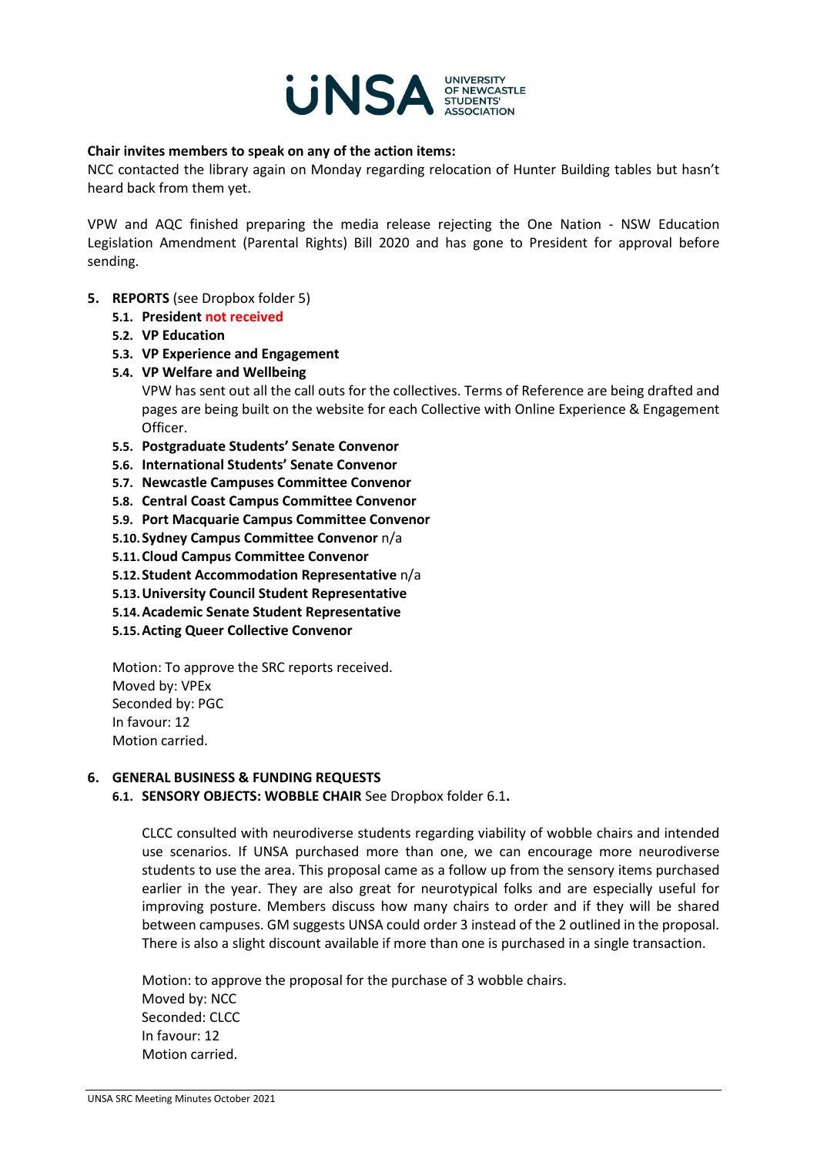

#### **Chair invites members to speak on any of the action items:**

NCC contacted the library again on Monday regarding relocation of Hunter Building tables but hasn't heard back from them yet.

VPW and AQC finished preparing the media release rejecting the One Nation - NSW Education Legislation Amendment (Parental Rights) Bill 2020 and has gone to President for approval before sending.

- **5. REPORTS** (see Dropbox folder 5)
	- **5.1. President not received**
	- **5.2. VP Education**
	- **5.3. VP Experience and Engagement**
	- **5.4. VP Welfare and Wellbeing**

VPW has sent out all the call outs for the collectives. Terms of Reference are being drafted and pages are being built on the website for each Collective with Online Experience & Engagement Officer.

- **5.5. Postgraduate Students' Senate Convenor**
- **5.6. International Students' Senate Convenor**
- **5.7. Newcastle Campuses Committee Convenor**
- **5.8. Central Coast Campus Committee Convenor**
- **5.9. Port Macquarie Campus Committee Convenor**
- **5.10.Sydney Campus Committee Convenor** n/a
- **5.11.Cloud Campus Committee Convenor**
- **5.12.Student Accommodation Representative** n/a
- **5.13.University Council Student Representative**
- **5.14.Academic Senate Student Representative**
- **5.15.Acting Queer Collective Convenor**

Motion: To approve the SRC reports received. Moved by: VPEx Seconded by: PGC In favour: 12 Motion carried.

#### **6. GENERAL BUSINESS & FUNDING REQUESTS**

**6.1. SENSORY OBJECTS: WOBBLE CHAIR** See Dropbox folder 6.1**.**

CLCC consulted with neurodiverse students regarding viability of wobble chairs and intended use scenarios. If UNSA purchased more than one, we can encourage more neurodiverse students to use the area. This proposal came as a follow up from the sensory items purchased earlier in the year. They are also great for neurotypical folks and are especially useful for improving posture. Members discuss how many chairs to order and if they will be shared between campuses. GM suggests UNSA could order 3 instead of the 2 outlined in the proposal. There is also a slight discount available if more than one is purchased in a single transaction.

Motion: to approve the proposal for the purchase of 3 wobble chairs. Moved by: NCC Seconded: CLCC In favour: 12 Motion carried.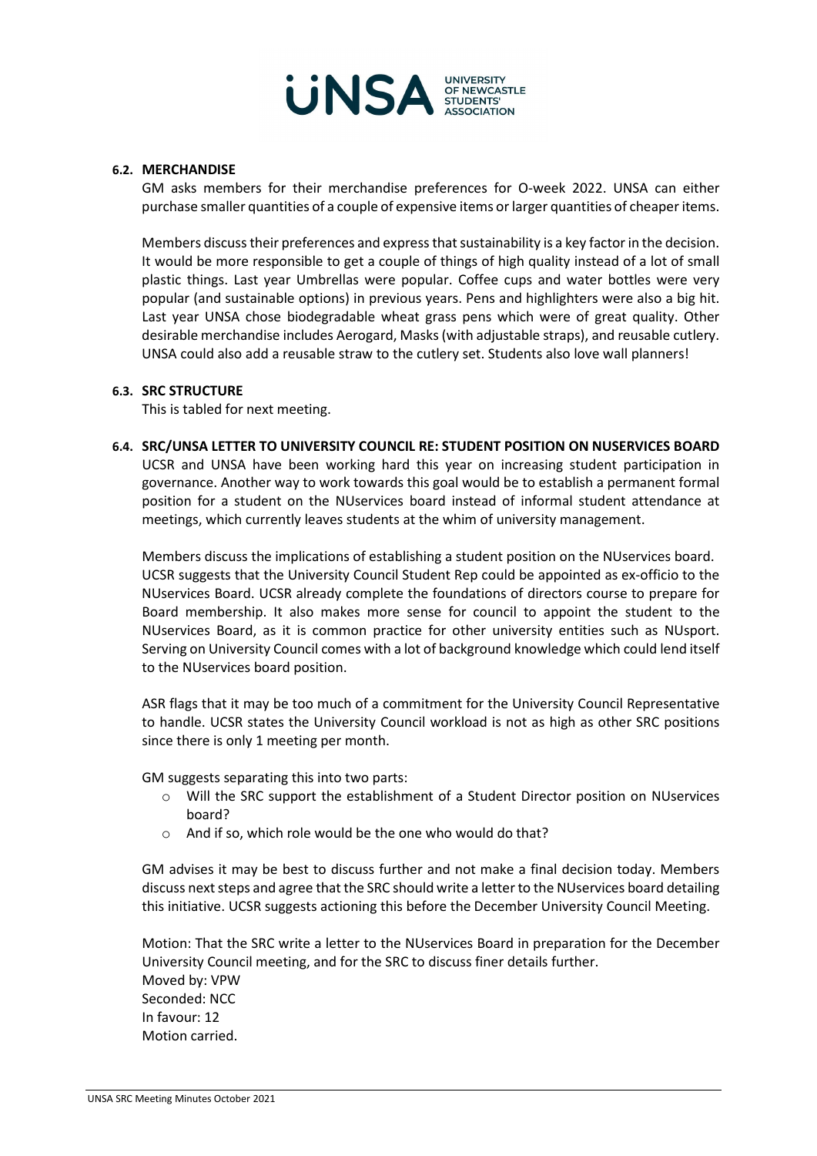

#### **6.2. MERCHANDISE**

GM asks members for their merchandise preferences for O-week 2022. UNSA can either purchase smaller quantities of a couple of expensive items or larger quantities of cheaper items.

Members discuss their preferences and express that sustainability is a key factor in the decision. It would be more responsible to get a couple of things of high quality instead of a lot of small plastic things. Last year Umbrellas were popular. Coffee cups and water bottles were very popular (and sustainable options) in previous years. Pens and highlighters were also a big hit. Last year UNSA chose biodegradable wheat grass pens which were of great quality. Other desirable merchandise includes Aerogard, Masks (with adjustable straps), and reusable cutlery. UNSA could also add a reusable straw to the cutlery set. Students also love wall planners!

#### **6.3. SRC STRUCTURE**

This is tabled for next meeting.

**6.4. SRC/UNSA LETTER TO UNIVERSITY COUNCIL RE: STUDENT POSITION ON NUSERVICES BOARD** UCSR and UNSA have been working hard this year on increasing student participation in governance. Another way to work towards this goal would be to establish a permanent formal position for a student on the NUservices board instead of informal student attendance at meetings, which currently leaves students at the whim of university management.

Members discuss the implications of establishing a student position on the NUservices board. UCSR suggests that the University Council Student Rep could be appointed as ex-officio to the NUservices Board. UCSR already complete the foundations of directors course to prepare for Board membership. It also makes more sense for council to appoint the student to the NUservices Board, as it is common practice for other university entities such as NUsport. Serving on University Council comes with a lot of background knowledge which could lend itself to the NUservices board position.

ASR flags that it may be too much of a commitment for the University Council Representative to handle. UCSR states the University Council workload is not as high as other SRC positions since there is only 1 meeting per month.

GM suggests separating this into two parts:

- o Will the SRC support the establishment of a Student Director position on NUservices board?
- o And if so, which role would be the one who would do that?

GM advises it may be best to discuss further and not make a final decision today. Members discuss next steps and agree that the SRC should write a letter to the NUservices board detailing this initiative. UCSR suggests actioning this before the December University Council Meeting.

Motion: That the SRC write a letter to the NUservices Board in preparation for the December University Council meeting, and for the SRC to discuss finer details further. Moved by: VPW Seconded: NCC In favour: 12 Motion carried.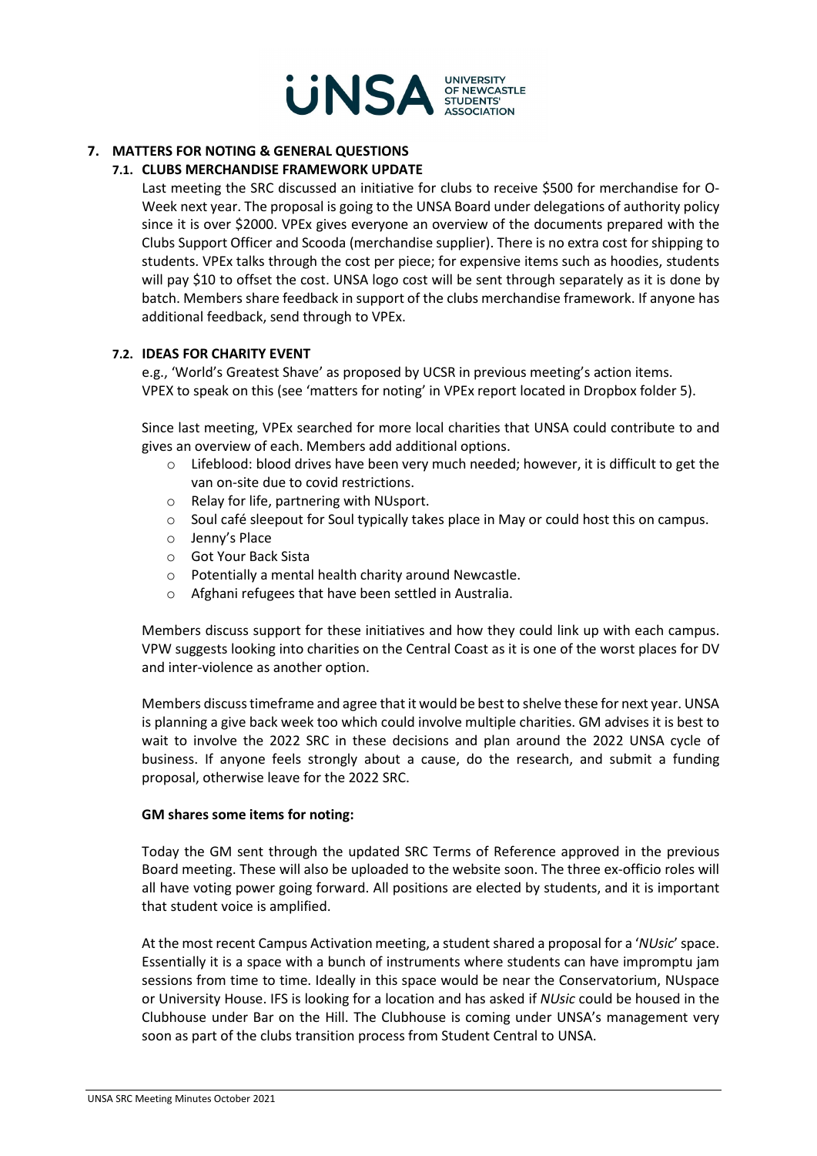

### **7. MATTERS FOR NOTING & GENERAL QUESTIONS**

### **7.1. CLUBS MERCHANDISE FRAMEWORK UPDATE**

Last meeting the SRC discussed an initiative for clubs to receive \$500 for merchandise for O-Week next year. The proposal is going to the UNSA Board under delegations of authority policy since it is over \$2000. VPEx gives everyone an overview of the documents prepared with the Clubs Support Officer and Scooda (merchandise supplier). There is no extra cost for shipping to students. VPEx talks through the cost per piece; for expensive items such as hoodies, students will pay \$10 to offset the cost. UNSA logo cost will be sent through separately as it is done by batch. Members share feedback in support of the clubs merchandise framework. If anyone has additional feedback, send through to VPEx.

#### **7.2. IDEAS FOR CHARITY EVENT**

e.g., 'World's Greatest Shave' as proposed by UCSR in previous meeting's action items. VPEX to speak on this (see 'matters for noting' in VPEx report located in Dropbox folder 5).

Since last meeting, VPEx searched for more local charities that UNSA could contribute to and gives an overview of each. Members add additional options.

- o Lifeblood: blood drives have been very much needed; however, it is difficult to get the van on-site due to covid restrictions.
- o Relay for life, partnering with NUsport.
- o Soul café sleepout for Soul typically takes place in May or could host this on campus.
- o Jenny's Place
- o Got Your Back Sista
- o Potentially a mental health charity around Newcastle.
- o Afghani refugees that have been settled in Australia.

Members discuss support for these initiatives and how they could link up with each campus. VPW suggests looking into charities on the Central Coast as it is one of the worst places for DV and inter-violence as another option.

Members discuss timeframe and agree that it would be best to shelve these for next year. UNSA is planning a give back week too which could involve multiple charities. GM advises it is best to wait to involve the 2022 SRC in these decisions and plan around the 2022 UNSA cycle of business. If anyone feels strongly about a cause, do the research, and submit a funding proposal, otherwise leave for the 2022 SRC.

#### **GM shares some items for noting:**

Today the GM sent through the updated SRC Terms of Reference approved in the previous Board meeting. These will also be uploaded to the website soon. The three ex-officio roles will all have voting power going forward. All positions are elected by students, and it is important that student voice is amplified.

At the most recent Campus Activation meeting, a student shared a proposal for a '*NUsic*' space. Essentially it is a space with a bunch of instruments where students can have impromptu jam sessions from time to time. Ideally in this space would be near the Conservatorium, NUspace or University House. IFS is looking for a location and has asked if *NUsic* could be housed in the Clubhouse under Bar on the Hill. The Clubhouse is coming under UNSA's management very soon as part of the clubs transition process from Student Central to UNSA.